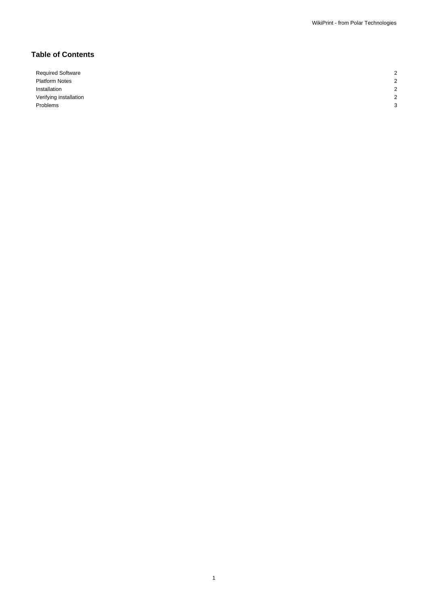1

# **Table of Contents**

Required Software 2008 Platform Notes 2 Installation 2 Verifying installation 2002 2012 12:30 and 2012 2013 12:30 and 2013 12:30 and 2013 12:30 and 2013 12:30 and 2013 12:30 and 2013 12:30 and 2013 12:30 and 2013 12:30 and 2013 12:30 and 2013 12:30 and 2013 12:30 and 2013 12:3 Problems and the contract of the contract of the contract of the contract of the contract of the contract of the contract of the contract of the contract of the contract of the contract of the contract of the contract of t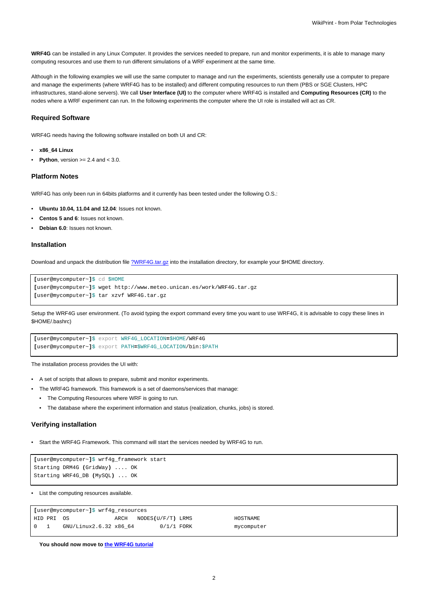**WRF4G** can be installed in any Linux Computer. It provides the services needed to prepare, run and monitor experiments, it is able to manage many computing resources and use them to run different simulations of a WRF experiment at the same time.

Although in the following examples we will use the same computer to manage and run the experiments, scientists generally use a computer to prepare and manage the experiments (where WRF4G has to be installed) and different computing resources to run them (PBS or SGE Clusters, HPC infrastructures, stand-alone servers). We call **User Interface (UI)** to the computer where WRF4G is installed and **Computing Resources (CR)** to the nodes where a WRF experiment can run. In the following experiments the computer where the UI role is installed will act as CR.

#### **Required Software**

WRF4G needs having the following software installed on both UI and CR:

- **x86\_64 Linux**
- **Python**, version  $>= 2.4$  and  $< 3.0$ .

#### **Platform Notes**

WRF4G has only been run in 64bits platforms and it currently has been tested under the following O.S.:

- **Ubuntu 10.04, 11.04 and 12.04**: Issues not known.
- **Centos 5 and 6**: Issues not known.
- **Debian 6.0**: Issues not known.

#### **Installation**

Download and unpack the distribution file [?WRF4G.tar.gz](http://meteo.macc.unican.es/work/WRF4G.tar.gz) into the installation directory, for example your \$HOME directory.

```
[user@mycomputer~]$ cd $HOME
[user@mycomputer~]$ wget http://www.meteo.unican.es/work/WRF4G.tar.gz
[user@mycomputer~]$ tar xzvf WRF4G.tar.gz
```
Setup the WRF4G user environment. (To avoid typing the export command every time you want to use WRF4G, it is advisable to copy these lines in \$HOME/.bashrc)

```
[user@mycomputer~]$ export WRF4G_LOCATION=$HOME/WRF4G
[user@mycomputer~]$ export PATH=$WRF4G_LOCATION/bin:$PATH
```
The installation process provides the UI with:

- A set of scripts that allows to prepare, submit and monitor experiments.
- The WRF4G framework. This framework is a set of daemons/services that manage:
- The Computing Resources where WRF is going to run.
- The database where the experiment information and status (realization, chunks, jobs) is stored.

### **Verifying installation**

• Start the WRF4G Framework. This command will start the services needed by WRF4G to run.

```
[user@mycomputer~]$ wrf4g_framework start
Starting DRM4G (GridWay) .... OK
Starting WRF4G_DB (MySQL) ... OK
```
• List the computing resources available.

| [user@mycomputer~]\$ wrf4q resources   |             |                        |      |                   |  |            |
|----------------------------------------|-------------|------------------------|------|-------------------|--|------------|
|                                        | 'HID PRI OS |                        | ARCH | NODES(U/F/T) LRMS |  | HOSTNAME   |
| $\begin{array}{ccc} 0 & 1 \end{array}$ |             | GNU/Linux2.6.32 x86 64 |      | $0/1/1$ FORK      |  | mycomputer |

**You should now move to [the WRF4G tutorial](https://meteo.unican.es/trac/wiki/WRF4GTutorial)**